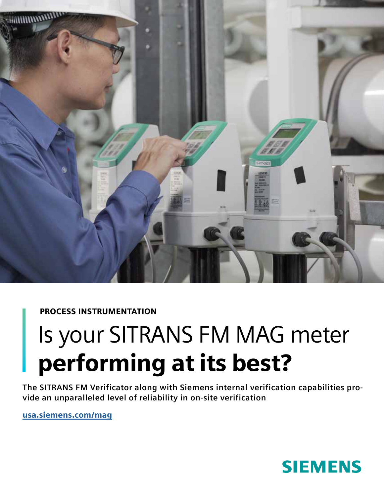

## PROCESS INSTRUMENTATION

# Is your SITRANS FM MAG meter performing at its best?

**The SITRANS FM Verificator along with Siemens internal verification capabilities provide an unparalleled level of reliability in on-site verification**

usa.siemens.com/mag